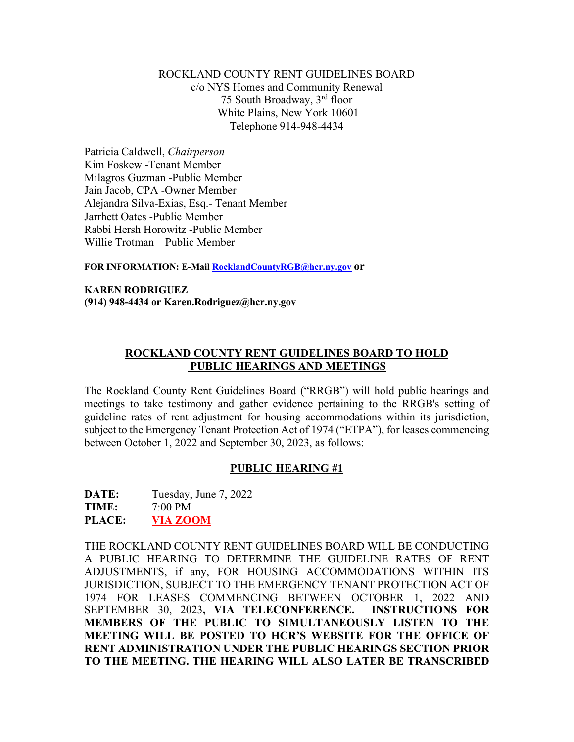### ROCKLAND COUNTY RENT GUIDELINES BOARD c/o NYS Homes and Community Renewal 75 South Broadway, 3rd floor White Plains, New York 10601 Telephone 914-948-4434

Patricia Caldwell, *Chairperson*  Kim Foskew -Tenant Member Milagros Guzman -Public Member Jain Jacob, CPA -Owner Member Alejandra Silva-Exias, Esq.- Tenant Member Jarrhett Oates -Public Member Rabbi Hersh Horowitz -Public Member Willie Trotman – Public Member

**FOR INFORMATION: E-Mail RocklandCountyRGB@hcr.ny.gov or**

#### **KAREN RODRIGUEZ (914) 948-4434 or Karen.Rodriguez@hcr.ny.gov**

### **ROCKLAND COUNTY RENT GUIDELINES BOARD TO HOLD PUBLIC HEARINGS AND MEETINGS**

The Rockland County Rent Guidelines Board ("RRGB") will hold public hearings and meetings to take testimony and gather evidence pertaining to the RRGB's setting of guideline rates of rent adjustment for housing accommodations within its jurisdiction, subject to the Emergency Tenant Protection Act of 1974 ("ETPA"), for leases commencing between October 1, 2022 and September 30, 2023, as follows:

## **PUBLIC HEARING #1**

**DATE:** Tuesday, June 7, 2022 **TIME:** 7:00 PM **PLACE: VIA ZOOM**

THE ROCKLAND COUNTY RENT GUIDELINES BOARD WILL BE CONDUCTING A PUBLIC HEARING TO DETERMINE THE GUIDELINE RATES OF RENT ADJUSTMENTS, if any, FOR HOUSING ACCOMMODATIONS WITHIN ITS JURISDICTION, SUBJECT TO THE EMERGENCY TENANT PROTECTION ACT OF 1974 FOR LEASES COMMENCING BETWEEN OCTOBER 1, 2022 AND SEPTEMBER 30, 2023**, VIA TELECONFERENCE. INSTRUCTIONS FOR MEMBERS OF THE PUBLIC TO SIMULTANEOUSLY LISTEN TO THE MEETING WILL BE POSTED TO HCR'S WEBSITE FOR THE OFFICE OF RENT ADMINISTRATION UNDER THE PUBLIC HEARINGS SECTION PRIOR TO THE MEETING. THE HEARING WILL ALSO LATER BE TRANSCRIBED**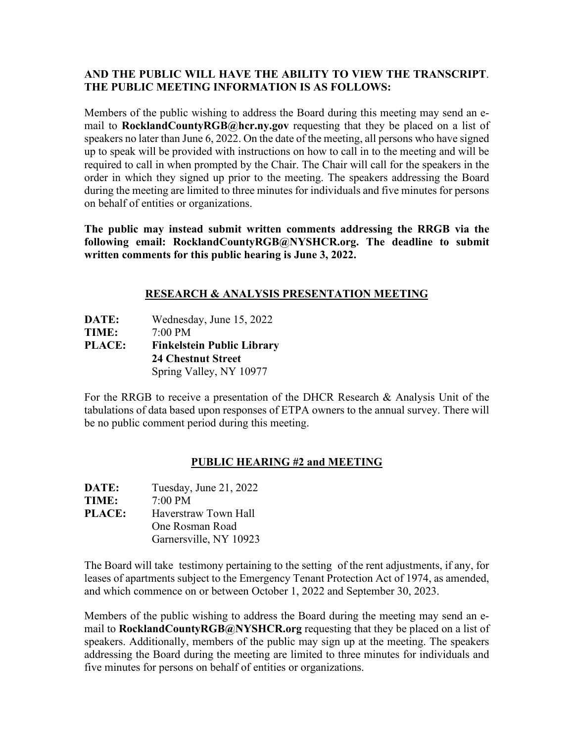## **AND THE PUBLIC WILL HAVE THE ABILITY TO VIEW THE TRANSCRIPT**. **THE PUBLIC MEETING INFORMATION IS AS FOLLOWS:**

Members of the public wishing to address the Board during this meeting may send an email to **RocklandCountyRGB@hcr.ny.gov** requesting that they be placed on a list of speakers no later than June 6, 2022. On the date of the meeting, all persons who have signed up to speak will be provided with instructions on how to call in to the meeting and will be required to call in when prompted by the Chair. The Chair will call for the speakers in the order in which they signed up prior to the meeting. The speakers addressing the Board during the meeting are limited to three minutes for individuals and five minutes for persons on behalf of entities or organizations.

**The public may instead submit written comments addressing the RRGB via the following email: RocklandCountyRGB@NYSHCR.org. The deadline to submit written comments for this public hearing is June 3, 2022.** 

# **RESEARCH & ANALYSIS PRESENTATION MEETING**

**DATE:** Wednesday, June 15, 2022 **TIME:** 7:00 PM **PLACE: Finkelstein Public Library 24 Chestnut Street** Spring Valley, NY 10977

For the RRGB to receive a presentation of the DHCR Research & Analysis Unit of the tabulations of data based upon responses of ETPA owners to the annual survey. There will be no public comment period during this meeting.

## **PUBLIC HEARING #2 and MEETING**

| <b>DATE:</b>  | Tuesday, June 21, 2022 |
|---------------|------------------------|
| <b>TIME:</b>  | $7:00 \text{ PM}$      |
| <b>PLACE:</b> | Haverstraw Town Hall   |
|               | One Rosman Road        |
|               | Garnersville, NY 10923 |

The Board will take testimony pertaining to the setting of the rent adjustments, if any, for leases of apartments subject to the Emergency Tenant Protection Act of 1974, as amended, and which commence on or between October 1, 2022 and September 30, 2023.

Members of the public wishing to address the Board during the meeting may send an email to **RocklandCountyRGB@NYSHCR.org** requesting that they be placed on a list of speakers. Additionally, members of the public may sign up at the meeting. The speakers addressing the Board during the meeting are limited to three minutes for individuals and five minutes for persons on behalf of entities or organizations.